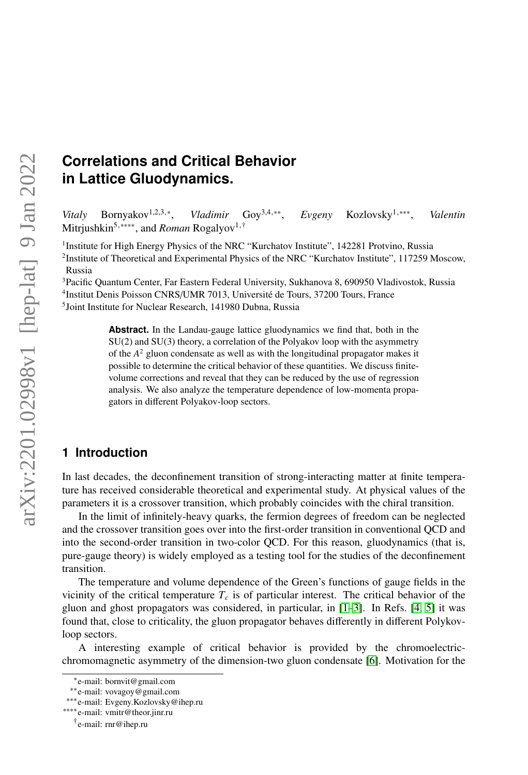# **Correlations and Critical Behavior in Lattice Gluodynamics.**

*Vitaly* Bornyakov<sup>1,2,3,∗</sup>. , *Vladimir* Goy<sup>3</sup>,4,∗∗ , *Evgeny* Kozlovsky<sup>1</sup>,∗∗∗ , *Valentin* Mitrjushkin<sup>5,</sup><sup>\*\*\*\*</sup>, and *Roman* Rogalyov<sup>1,†</sup>

<sup>1</sup>Institute for High Energy Physics of the NRC "Kurchatov Institute", 142281 Protvino, Russia <sup>2</sup>Institute of Theoretical and Experimental Physics of the NRC "Kurchatov Institute", 117259 Moscow, Russia

<sup>3</sup>Pacific Quantum Center, Far Eastern Federal University, Sukhanova 8, 690950 Vladivostok, Russia 4 Institut Denis Poisson CNRS/UMR 7013, Université de Tours, 37200 Tours, France 5 Joint Institute for Nuclear Research, 141980 Dubna, Russia

> **Abstract.** In the Landau-gauge lattice gluodynamics we find that, both in the SU(2) and SU(3) theory, a correlation of the Polyakov loop with the asymmetry of the *A* <sup>2</sup> gluon condensate as well as with the longitudinal propagator makes it possible to determine the critical behavior of these quantities. We discuss finitevolume corrections and reveal that they can be reduced by the use of regression analysis. We also analyze the temperature dependence of low-momenta propagators in different Polyakov-loop sectors.

## **1 Introduction**

In last decades, the deconfinement transition of strong-interacting matter at finite temperature has received considerable theoretical and experimental study. At physical values of the parameters it is a crossover transition, which probably coincides with the chiral transition.

In the limit of infinitely-heavy quarks, the fermion degrees of freedom can be neglected and the crossover transition goes over into the first-order transition in conventional QCD and into the second-order transition in two-color QCD. For this reason, gluodynamics (that is, pure-gauge theory) is widely employed as a testing tool for the studies of the deconfinement transition.

The temperature and volume dependence of the Green's functions of gauge fields in the vicinity of the critical temperature  $T_c$  is of particular interest. The critical behavior of the gluon and ghost propagators was considered, in particular, in  $[1-3]$  $[1-3]$ . In Refs.  $[4, 5]$  $[4, 5]$  it was found that, close to criticality, the gluon propagator behaves differently in different Polykovloop sectors.

A interesting example of critical behavior is provided by the chromoelectricchromomagnetic asymmetry of the dimension-two gluon condensate [\[6\]](#page-7-4). Motivation for the

<sup>∗</sup> e-mail: bornvit@gmail.com

<sup>∗∗</sup>e-mail: vovagoy@gmail.com

<sup>∗∗∗</sup>e-mail: Evgeny.Kozlovsky@ihep.ru

<sup>∗∗∗∗</sup>e-mail: vmitr@theor.jinr.ru

<sup>†</sup> e-mail: rnr@ihep.ru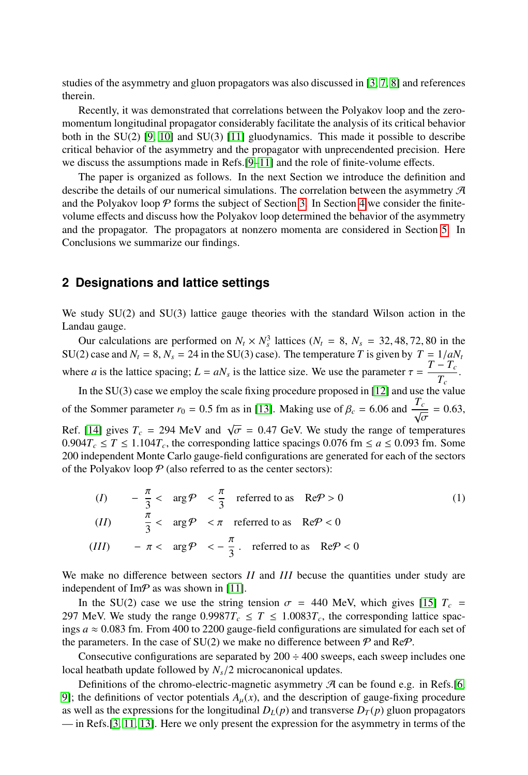studies of the asymmetry and gluon propagators was also discussed in [\[3,](#page-7-1) [7,](#page-7-5) [8\]](#page-7-6) and references therein.

Recently, it was demonstrated that correlations between the Polyakov loop and the zeromomentum longitudinal propagator considerably facilitate the analysis of its critical behavior both in the SU(2) [\[9,](#page-7-7) [10\]](#page-7-8) and SU(3) [\[11\]](#page-7-9) gluodynamics. This made it possible to describe critical behavior of the asymmetry and the propagator with unprecendented precision. Here we discuss the assumptions made in Refs.[\[9–](#page-7-7)[11\]](#page-7-9) and the role of finite-volume effects.

The paper is organized as follows. In the next Section we introduce the definition and describe the details of our numerical simulations. The correlation between the asymmetry  $\mathcal A$ and the Polyakov loop  $P$  forms the subject of Section [3.](#page-2-0) In Section [4](#page-3-0) we consider the finitevolume effects and discuss how the Polyakov loop determined the behavior of the asymmetry and the propagator. The propagators at nonzero momenta are considered in Section [5.](#page-6-0) In Conclusions we summarize our findings.

## **2 Designations and lattice settings**

We study SU(2) and SU(3) lattice gauge theories with the standard Wilson action in the Landau gauge.

Our calculations are performed on  $N_t \times N_s^3$  lattices  $(N_t = 8, N_s = 32, 48, 72, 80$  in the 20 case and  $N_t = 8, N_t = 24$  in the SU(3) case). The temperature *T* is given by  $T = 1/aN_s$ . SU(2) case and  $N_t = 8$ ,  $N_s = 24$  in the SU(3) case). The temperature *T* is given by  $T = 1/aN_t$ where *a* is the lattice spacing;  $L = aN_s$  is the lattice size. We use the parameter  $\tau = \frac{T - T_c}{T_c}$  $\frac{C}{T_c}$ .

In the SU(3) case we employ the scale fixing procedure proposed in [\[12\]](#page-7-10) and use the value of the Sommer parameter  $r_0 = 0.5$  fm as in [\[13\]](#page-7-11). Making use of  $\beta_c = 6.06$  and  $\frac{T_c}{\sqrt{\sigma}} = 0.63$ ,

Ref. [\[14\]](#page-7-12) gives  $T_c = 294$  MeV and  $\sqrt{\sigma} = 0.47$  GeV. We study the range of temperatures<br>0.904 $T < T < 1.104$  the corresponding lattice spacings 0.076 fm  $\le a \le 0.093$  fm. Some  $0.904T_c \leq T \leq 1.104T_c$ , the corresponding lattice spacings 0.076 fm  $\leq a \leq 0.093$  fm. Some 200 independent Monte Carlo gauge-field configurations are generated for each of the sectors of the Polyakov loop  $P$  (also referred to as the center sectors):

$$
(I) \quad -\frac{\pi}{3} < \arg \mathcal{P} \quad < \frac{\pi}{3} \quad \text{referred to as} \quad \text{Re}\mathcal{P} > 0 \tag{1}
$$
\n
$$
(II) \quad \frac{\pi}{3} < \arg \mathcal{P} \quad < \pi \quad \text{referred to as} \quad \text{Re}\mathcal{P} < 0
$$
\n
$$
(III) \quad -\pi < \arg \mathcal{P} \quad < -\frac{\pi}{3} \quad \text{referred to as} \quad \text{Re}\mathcal{P} < 0
$$

We make no difference between sectors *II* and *III* becuse the quantities under study are independent of Im $\mathcal P$  as was shown in [\[11\]](#page-7-9).

In the SU(2) case we use the string tension  $\sigma = 440$  MeV, which gives [\[15\]](#page-8-0)  $T_c$  = 297 MeV. We study the range  $0.9987T_c \leq T \leq 1.0083T_c$ , the corresponding lattice spacings  $a \approx 0.083$  fm. From 400 to 2200 gauge-field configurations are simulated for each set of the parameters. In the case of SU(2) we make no difference between  $\mathcal P$  and Re $\mathcal P$ .

Consecutive configurations are separated by  $200 \div 400$  sweeps, each sweep includes one local heatbath update followed by *<sup>N</sup><sup>s</sup>*/2 microcanonical updates.

Definitions of the chromo-electric-magnetic asymmetry  $\mathcal{A}$  can be found e.g. in Refs.[\[6,](#page-7-4) [9\]](#page-7-7); the definitions of vector potentials  $A_\mu(x)$ , and the description of gauge-fixing procedure as well as the expressions for the longitudinal  $D_L(p)$  and transverse  $D_T(p)$  gluon propagators — in Refs.[\[3,](#page-7-1) [11,](#page-7-9) [13\]](#page-7-11). Here we only present the expression for the asymmetry in terms of the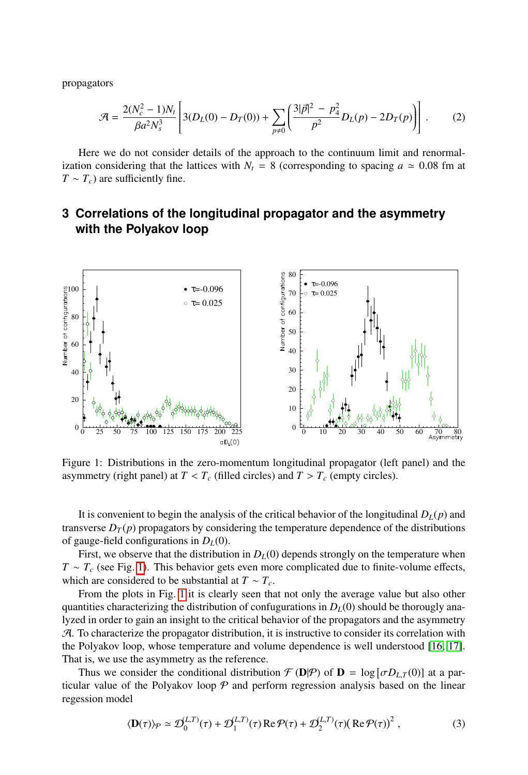propagators

$$
\mathcal{A} = \frac{2(N_c^2 - 1)N_t}{\beta a^2 N_s^3} \left[ 3(D_L(0) - D_T(0)) + \sum_{p \neq 0} \left( \frac{3|\vec{p}|^2 - p_4^2}{p^2} D_L(p) - 2D_T(p) \right) \right].
$$
 (2)

Here we do not consider details of the approach to the continuum limit and renormalization considering that the lattices with  $N_t = 8$  (corresponding to spacing  $a \approx 0.08$  fm at  $T \sim T_c$ ) are sufficiently fine.

# <span id="page-2-0"></span>**3 Correlations of the longitudinal propagator and the asymmetry with the Polyakov loop**

<span id="page-2-1"></span>

Figure 1: Distributions in the zero-momentum longitudinal propagator (left panel) and the asymmetry (right panel) at  $T < T_c$  (filled circles) and  $T > T_c$  (empty circles).

It is convenient to begin the analysis of the critical behavior of the longitudinal  $D_L(p)$  and transverse  $D_T(p)$  propagators by considering the temperature dependence of the distributions of gauge-field configurations in *DL*(0).

First, we observe that the distribution in  $D<sub>L</sub>(0)$  depends strongly on the temperature when *T* ∼ *T<sub>c</sub>* (see Fig. [1\)](#page-2-1). This behavior gets even more complicated due to finite-volume effects, which are considered to be substantial at  $T \sim T_c$ .

From the plots in Fig. [1](#page-2-1) it is clearly seen that not only the average value but also other quantities characterizing the distribution of confugurations in  $D<sub>L</sub>(0)$  should be thorougly analyzed in order to gain an insight to the critical behavior of the propagators and the asymmetry  $A$ . To characterize the propagator distribution, it is instructive to consider its correlation with the Polyakov loop, whose temperature and volume dependence is well understood [\[16,](#page-8-1) [17\]](#page-8-2). That is, we use the asymmetry as the reference.

Thus we consider the conditional distribution  $\mathcal{F}(\mathbf{D}|\mathcal{P})$  of  $\mathbf{D} = \log [\sigma D_{L,T}(0)]$  at a par-<br>lar value of the Polyakov loop  $\mathcal{P}$  and perform regression analysis based on the linear ticular value of the Polyakov loop  $P$  and perform regression analysis based on the linear regession model

<span id="page-2-2"></span>
$$
\langle \mathbf{D}(\tau) \rangle_{\mathcal{P}} \simeq \mathcal{D}_0^{(L,T)}(\tau) + \mathcal{D}_1^{(L,T)}(\tau) \operatorname{Re} \mathcal{P}(\tau) + \mathcal{D}_2^{(L,T)}(\tau) (\operatorname{Re} \mathcal{P}(\tau))^2 , \qquad (3)
$$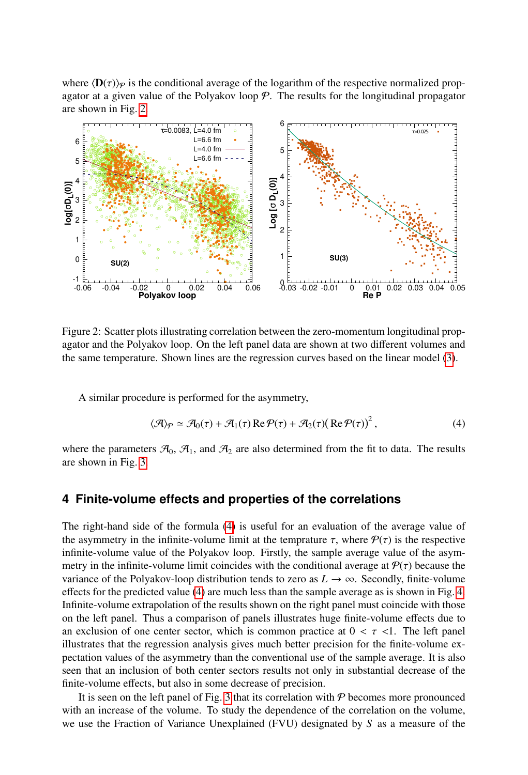where  $\langle \mathbf{D}(\tau) \rangle_p$  is the conditional average of the logarithm of the respective normalized propagator at a given value of the Polyakov loop  $P$ . The results for the longitudinal propagator are shown in Fig. [2.](#page-3-1)

<span id="page-3-1"></span>

Figure 2: Scatter plots illustrating correlation between the zero-momentum longitudinal propagator and the Polyakov loop. On the left panel data are shown at two different volumes and the same temperature. Shown lines are the regression curves based on the linear model [\(3\)](#page-2-2).

A similar procedure is performed for the asymmetry,

<span id="page-3-2"></span>
$$
\langle \mathcal{A} \rangle_{\mathcal{P}} \simeq \mathcal{A}_0(\tau) + \mathcal{A}_1(\tau) \operatorname{Re} \mathcal{P}(\tau) + \mathcal{A}_2(\tau) (\operatorname{Re} \mathcal{P}(\tau))^2, \tag{4}
$$

where the parameters  $\mathcal{A}_0$ ,  $\mathcal{A}_1$ , and  $\mathcal{A}_2$  are also determined from the fit to data. The results are shown in Fig. [3.](#page-4-0)

#### <span id="page-3-0"></span>**4 Finite-volume effects and properties of the correlations**

The right-hand side of the formula [\(4\)](#page-3-2) is useful for an evaluation of the average value of the asymmetry in the infinite-volume limit at the temprature  $\tau$ , where  $P(\tau)$  is the respective infinite-volume value of the Polyakov loop. Firstly, the sample average value of the asymmetry in the infinite-volume limit coincides with the conditional average at  $P(\tau)$  because the variance of the Polyakov-loop distribution tends to zero as  $L \rightarrow \infty$ . Secondly, finite-volume effects for the predicted value [\(4\)](#page-3-2) are much less than the sample average as is shown in Fig. [4.](#page-4-1) Infinite-volume extrapolation of the results shown on the right panel must coincide with those on the left panel. Thus a comparison of panels illustrates huge finite-volume effects due to an exclusion of one center sector, which is common practice at  $0 < \tau < 1$ . The left panel illustrates that the regression analysis gives much better precision for the finite-volume expectation values of the asymmetry than the conventional use of the sample average. It is also seen that an inclusion of both center sectors results not only in substantial decrease of the finite-volume effects, but also in some decrease of precision.

It is seen on the left panel of Fig. [3](#page-4-0) that its correlation with  $P$  becomes more pronounced with an increase of the volume. To study the dependence of the correlation on the volume, we use the Fraction of Variance Unexplained (FVU) designated by *S* as a measure of the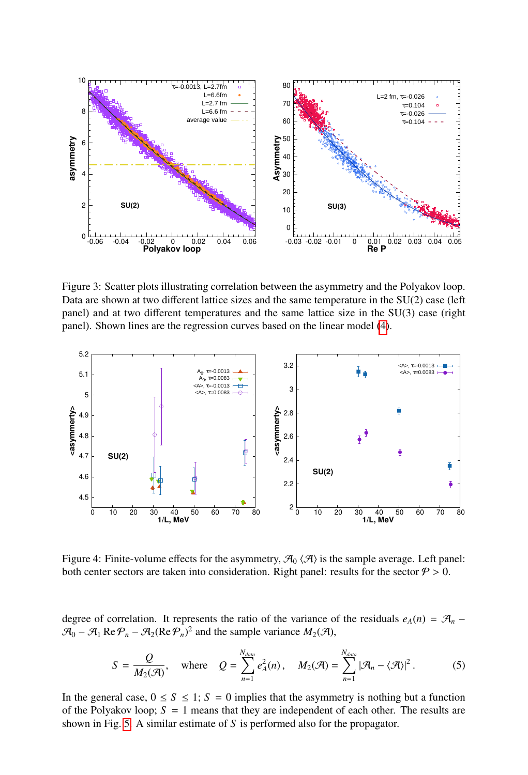<span id="page-4-0"></span>

Figure 3: Scatter plots illustrating correlation between the asymmetry and the Polyakov loop. Data are shown at two different lattice sizes and the same temperature in the SU(2) case (left panel) and at two different temperatures and the same lattice size in the SU(3) case (right panel). Shown lines are the regression curves based on the linear model [\(4\)](#page-3-2).

<span id="page-4-1"></span>

Figure 4: Finite-volume effects for the asymmetry,  $\mathcal{A}_0 \langle \mathcal{A} \rangle$  is the sample average. Left panel: both center sectors are taken into consideration. Right panel: results for the sector  $P > 0$ .

degree of correlation. It represents the ratio of the variance of the residuals  $e_A(n) = \mathcal{A}_n$  −  $\mathcal{A}_0 - \mathcal{A}_1 \operatorname{Re} \mathcal{P}_n - \mathcal{A}_2(\operatorname{Re} \mathcal{P}_n)^2$  and the sample variance  $M_2(\mathcal{A})$ ,

$$
S = \frac{Q}{M_2(\mathcal{A})}, \quad \text{where} \quad Q = \sum_{n=1}^{N_{data}} e_A^2(n), \quad M_2(\mathcal{A}) = \sum_{n=1}^{N_{data}} |\mathcal{A}_n - \langle \mathcal{A} \rangle|^2. \tag{5}
$$

In the general case,  $0 \le S \le 1$ ;  $S = 0$  implies that the asymmetry is nothing but a function of the Polyakov loop;  $S = 1$  means that they are independent of each other. The results are shown in Fig. [5.](#page-5-0) A similar estimate of *S* is performed also for the propagator.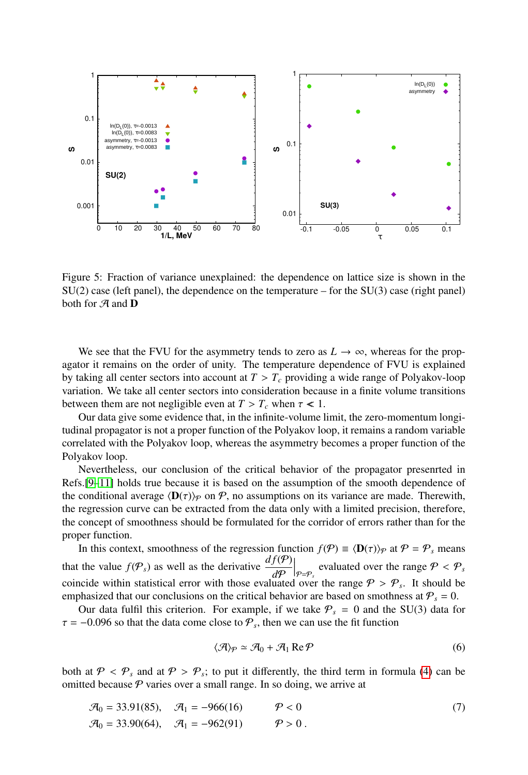<span id="page-5-0"></span>

Figure 5: Fraction of variance unexplained: the dependence on lattice size is shown in the SU(2) case (left panel), the dependence on the temperature – for the SU(3) case (right panel) both for  $A$  and  $D$ 

We see that the FVU for the asymmetry tends to zero as  $L \to \infty$ , whereas for the propagator it remains on the order of unity. The temperature dependence of FVU is explained by taking all center sectors into account at  $T > T_c$  providing a wide range of Polyakov-loop variation. We take all center sectors into consideration because in a finite volume transitions between them are not negligible even at  $T > T_c$  when  $\tau < 1$ .

Our data give some evidence that, in the infinite-volume limit, the zero-momentum longitudinal propagator is not a proper function of the Polyakov loop, it remains a random variable correlated with the Polyakov loop, whereas the asymmetry becomes a proper function of the Polyakov loop.

Nevertheless, our conclusion of the critical behavior of the propagator presenrted in Refs.[\[9–](#page-7-7)[11\]](#page-7-9) holds true because it is based on the assumption of the smooth dependence of the conditional average  $\langle \mathbf{D}(\tau) \rangle_P$  on P, no assumptions on its variance are made. Therewith, the regression curve can be extracted from the data only with a limited precision, therefore, the concept of smoothness should be formulated for the corridor of errors rather than for the proper function.

In this context, smoothness of the regression function  $f(\mathcal{P}) \equiv \langle \mathbf{D}(\tau) \rangle_{\mathcal{P}}$  at  $\mathcal{P} = \mathcal{P}_s$  means that the value  $f(\mathcal{P}_s)$  as well as the derivative  $\frac{df(\mathcal{P})}{d\mathcal{P}}$  $\Big|_{\mathcal{P}=\mathcal{P}_s}$  evaluated over the range  $\mathcal{P} < \mathcal{P}_s$ coincide within statistical error with those evaluated over the range  $P > P_s$ . It should be<br>emphasized that our conclusions on the critical behavior are based on smothness at  $P = 0$ emphasized that our conclusions on the critical behavior are based on smothness at  $P_s = 0$ .

Our data fulfil this criterion. For example, if we take  $P_s = 0$  and the SU(3) data for  $\tau = -0.096$  so that the data come close to  $P_s$ , then we can use the fit function

$$
\langle \mathcal{A} \rangle_{\mathcal{P}} \simeq \mathcal{A}_0 + \mathcal{A}_1 \operatorname{Re} \mathcal{P} \tag{6}
$$

both at  $\mathcal{P} < \mathcal{P}_s$  and at  $\mathcal{P} > \mathcal{P}_s$ ; to put it differently, the third term in formula [\(4\)](#page-3-2) can be omitted because  $\mathcal{P}$  varies over a small range. In so doing we arrive at omitted because  $P$  varies over a small range. In so doing, we arrive at

$$
\mathcal{A}_0 = 33.91(85), \quad \mathcal{A}_1 = -966(16) \qquad \mathcal{P} < 0 \tag{7}
$$
\n
$$
\mathcal{A}_0 = 33.90(64), \quad \mathcal{A}_1 = -962(91) \qquad \mathcal{P} > 0 \,.
$$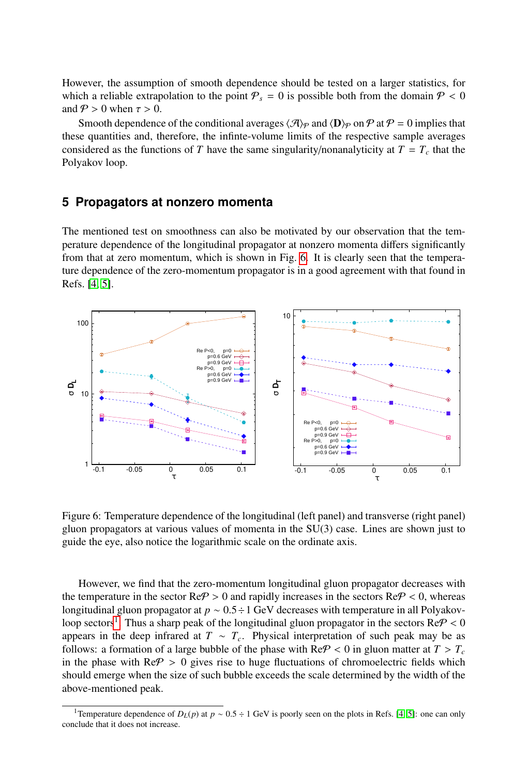However, the assumption of smooth dependence should be tested on a larger statistics, for which a reliable extrapolation to the point  $P_s = 0$  is possible both from the domain  $P < 0$ and  $P > 0$  when  $\tau > 0$ .

Smooth dependence of the conditional averages  $\langle A \rangle_P$  and  $\langle D \rangle_P$  on P at P = 0 implies that these quantities and, therefore, the infinte-volume limits of the respective sample averages considered as the functions of *T* have the same singularity/nonanalyticity at  $T = T_c$  that the Polyakov loop.

## <span id="page-6-0"></span>**5 Propagators at nonzero momenta**

The mentioned test on smoothness can also be motivated by our observation that the temperature dependence of the longitudinal propagator at nonzero momenta differs significantly from that at zero momentum, which is shown in Fig. [6.](#page-6-1) It is clearly seen that the temperature dependence of the zero-momentum propagator is in a good agreement with that found in Refs. [\[4,](#page-7-2) [5\]](#page-7-3).

<span id="page-6-1"></span>

Figure 6: Temperature dependence of the longitudinal (left panel) and transverse (right panel) gluon propagators at various values of momenta in the SU(3) case. Lines are shown just to guide the eye, also notice the logarithmic scale on the ordinate axis.

However, we find that the zero-momentum longitudinal gluon propagator decreases with the temperature in the sector  $\text{Re}\mathcal{P} > 0$  and rapidly increases in the sectors  $\text{Re}\mathcal{P} < 0$ , whereas longitudinal gluon propagator at *<sup>p</sup>* <sup>∼</sup> <sup>0</sup>.5÷1 GeV decreases with temperature in all Polyakov-loop sectors<sup>[1](#page-6-2)</sup>. Thus a sharp peak of the longitudinal gluon propagator in the sectors  $\text{Re}\mathcal{P} < 0$ <br>appears in the deep infrared at  $T \propto T$ . Physical interpretation of such peak may be as appears in the deep infrared at  $T \sim T_c$ . Physical interpretation of such peak may be as follows: a formation of a large bubble of the phase with  $\text{Re}\mathcal{P} < 0$  in gluon matter at  $T > T_c$ in the phase with  $\text{Re}\mathcal{P} > 0$  gives rise to huge fluctuations of chromoelectric fields which should emerge when the size of such bubble exceeds the scale determined by the width of the above-mentioned peak.

<span id="page-6-2"></span><sup>&</sup>lt;sup>1</sup>Temperature dependence of  $D_L(p)$  at  $p \sim 0.5 \div 1$  GeV is poorly seen on the plots in Refs. [\[4,](#page-7-2) [5\]](#page-7-3): one can only conclude that it does not increase.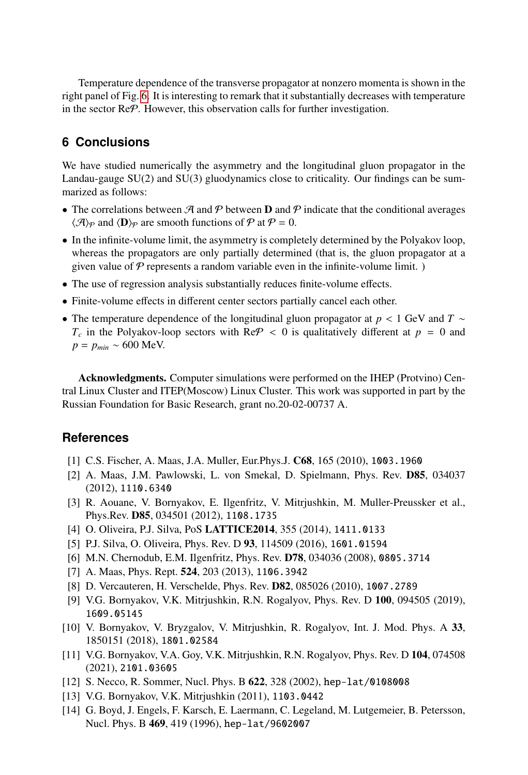Temperature dependence of the transverse propagator at nonzero momenta is shown in the right panel of Fig. [6.](#page-6-1) It is interesting to remark that it substantially decreases with temperature in the sector ReP. However, this observation calls for further investigation.

# **6 Conclusions**

We have studied numerically the asymmetry and the longitudinal gluon propagator in the Landau-gauge SU(2) and SU(3) gluodynamics close to criticality. Our findings can be summarized as follows:

- The correlations between  $\mathcal A$  and  $\mathcal P$  between  $D$  and  $\mathcal P$  indicate that the conditional averages  $\langle \mathcal{A} \rangle_{\mathcal{P}}$  and  $\langle \mathbf{D} \rangle_{\mathcal{P}}$  are smooth functions of  $\mathcal{P}$  at  $\mathcal{P} = 0$ .
- In the infinite-volume limit, the asymmetry is completely determined by the Polyakov loop, whereas the propagators are only partially determined (that is, the gluon propagator at a given value of  $P$  represents a random variable even in the infinite-volume limit.  $)$
- The use of regression analysis substantially reduces finite-volume effects.
- Finite-volume effects in different center sectors partially cancel each other.
- The temperature dependence of the longitudinal gluon propagator at *<sup>p</sup>* < 1 GeV and *<sup>T</sup>* <sup>∼</sup>  $T_c$  in the Polyakov-loop sectors with Re $P < 0$  is qualitatively different at  $p = 0$  and *p* = *pmin* ∼ 600 MeV.

Acknowledgments. Computer simulations were performed on the IHEP (Protvino) Central Linux Cluster and ITEP(Moscow) Linux Cluster. This work was supported in part by the Russian Foundation for Basic Research, grant no.20-02-00737 A.

## **References**

- <span id="page-7-0"></span>[1] C.S. Fischer, A. Maas, J.A. Muller, Eur.Phys.J. C68, 165 (2010), 1003.1960
- [2] A. Maas, J.M. Pawlowski, L. von Smekal, D. Spielmann, Phys. Rev. D85, 034037 (2012), 1110.6340
- <span id="page-7-1"></span>[3] R. Aouane, V. Bornyakov, E. Ilgenfritz, V. Mitrjushkin, M. Muller-Preussker et al., Phys.Rev. D85, 034501 (2012), 1108.1735
- <span id="page-7-2"></span>[4] O. Oliveira, P.J. Silva, PoS LATTICE2014, 355 (2014), 1411.0133
- <span id="page-7-3"></span>[5] P.J. Silva, O. Oliveira, Phys. Rev. D 93, 114509 (2016), 1601.01594
- <span id="page-7-4"></span>[6] M.N. Chernodub, E.M. Ilgenfritz, Phys. Rev. D78, 034036 (2008), 0805.3714
- <span id="page-7-5"></span>[7] A. Maas, Phys. Rept. 524, 203 (2013), 1106.3942
- <span id="page-7-6"></span>[8] D. Vercauteren, H. Verschelde, Phys. Rev. D82, 085026 (2010), 1007.2789
- <span id="page-7-7"></span>[9] V.G. Bornyakov, V.K. Mitrjushkin, R.N. Rogalyov, Phys. Rev. D 100, 094505 (2019), 1609.05145
- <span id="page-7-8"></span>[10] V. Bornyakov, V. Bryzgalov, V. Mitrjushkin, R. Rogalyov, Int. J. Mod. Phys. A 33, 1850151 (2018), 1801.02584
- <span id="page-7-9"></span>[11] V.G. Bornyakov, V.A. Goy, V.K. Mitrjushkin, R.N. Rogalyov, Phys. Rev. D 104, 074508 (2021), 2101.03605
- <span id="page-7-10"></span>[12] S. Necco, R. Sommer, Nucl. Phys. B 622, 328 (2002), hep-lat/0108008
- <span id="page-7-11"></span>[13] V.G. Bornyakov, V.K. Mitrjushkin (2011), 1103.0442
- <span id="page-7-12"></span>[14] G. Boyd, J. Engels, F. Karsch, E. Laermann, C. Legeland, M. Lutgemeier, B. Petersson, Nucl. Phys. B 469, 419 (1996), hep-lat/9602007